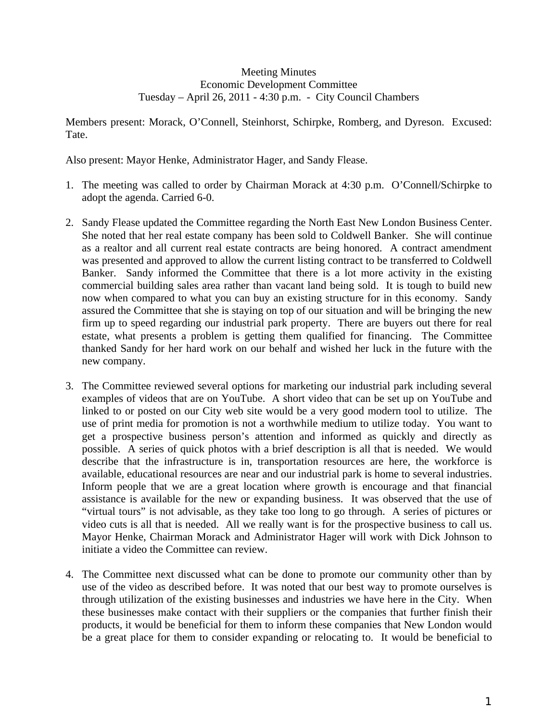## Meeting Minutes Economic Development Committee Tuesday – April 26, 2011 - 4:30 p.m. - City Council Chambers

Members present: Morack, O'Connell, Steinhorst, Schirpke, Romberg, and Dyreson. Excused: Tate.

Also present: Mayor Henke, Administrator Hager, and Sandy Flease.

- 1. The meeting was called to order by Chairman Morack at 4:30 p.m. O'Connell/Schirpke to adopt the agenda. Carried 6-0.
- 2. Sandy Flease updated the Committee regarding the North East New London Business Center. She noted that her real estate company has been sold to Coldwell Banker. She will continue as a realtor and all current real estate contracts are being honored. A contract amendment was presented and approved to allow the current listing contract to be transferred to Coldwell Banker. Sandy informed the Committee that there is a lot more activity in the existing commercial building sales area rather than vacant land being sold. It is tough to build new now when compared to what you can buy an existing structure for in this economy. Sandy assured the Committee that she is staying on top of our situation and will be bringing the new firm up to speed regarding our industrial park property. There are buyers out there for real estate, what presents a problem is getting them qualified for financing. The Committee thanked Sandy for her hard work on our behalf and wished her luck in the future with the new company.
- 3. The Committee reviewed several options for marketing our industrial park including several examples of videos that are on YouTube. A short video that can be set up on YouTube and linked to or posted on our City web site would be a very good modern tool to utilize. The use of print media for promotion is not a worthwhile medium to utilize today. You want to get a prospective business person's attention and informed as quickly and directly as possible. A series of quick photos with a brief description is all that is needed. We would describe that the infrastructure is in, transportation resources are here, the workforce is available, educational resources are near and our industrial park is home to several industries. Inform people that we are a great location where growth is encourage and that financial assistance is available for the new or expanding business. It was observed that the use of "virtual tours" is not advisable, as they take too long to go through. A series of pictures or video cuts is all that is needed. All we really want is for the prospective business to call us. Mayor Henke, Chairman Morack and Administrator Hager will work with Dick Johnson to initiate a video the Committee can review.
- 4. The Committee next discussed what can be done to promote our community other than by use of the video as described before. It was noted that our best way to promote ourselves is through utilization of the existing businesses and industries we have here in the City. When these businesses make contact with their suppliers or the companies that further finish their products, it would be beneficial for them to inform these companies that New London would be a great place for them to consider expanding or relocating to. It would be beneficial to